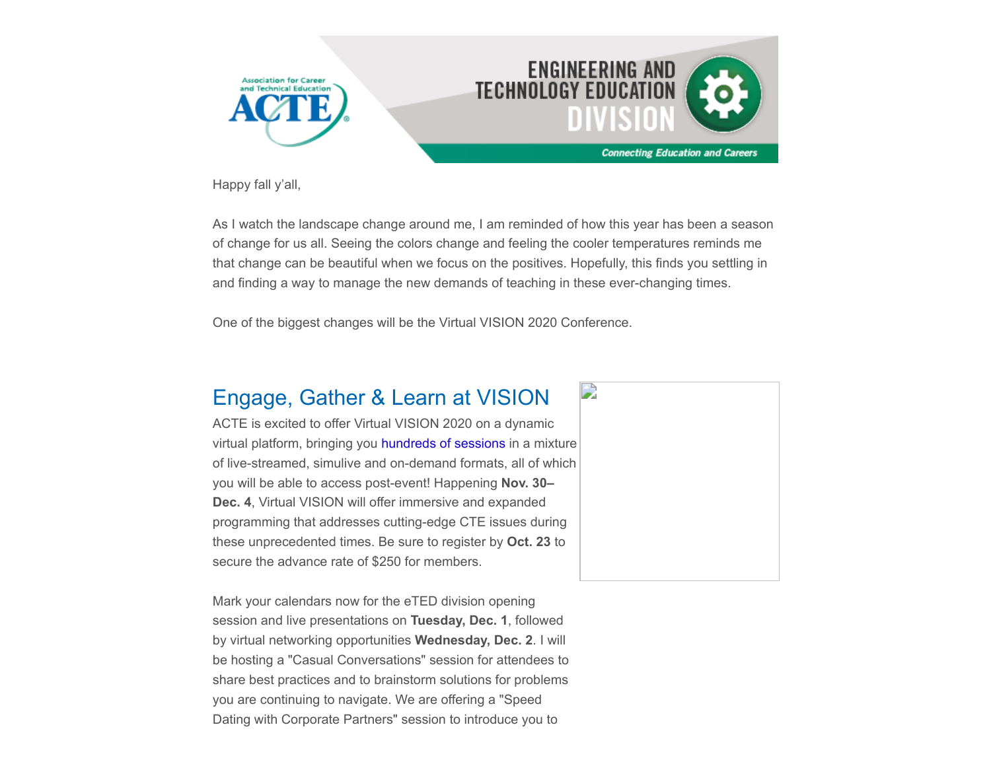

Happy fall y'all,

As I watch the landscape change around me, I am reminded of how this year has been a season of change for us all. Seeing the colors change and feeling the cooler temperatures reminds me that change can be beautiful when we focus on the positives. Hopefully, this finds you settling in and finding a way to manage the new demands of teaching in these ever-changing times.

One of the biggest changes will be the Virtual VISION 2020 Conference.

## Engage, Gather & Learn at VISION

ACTE is excited to offer Virtual VISION 2020 on a dynamic virtual platform, bringing you [hundreds of sessions](https://www.careertechvision.com/program_schedule.cfm) in a mixture of live-streamed, simulive and on-demand formats, all of which you will be able to access post-event! Happening **Nov. 30– Dec. 4**, Virtual VISION will offer immersive and expanded programming that addresses cutting-edge CTE issues during these unprecedented times. Be sure to register by **Oct. 23** to secure the advance rate of \$250 for members.

Mark your calendars now for the eTED division opening session and live presentations on **Tuesday, Dec. 1**, followed by virtual networking opportunities **Wednesday, Dec. 2**. I will be hosting a "Casual Conversations" session for attendees to share best practices and to brainstorm solutions for problems you are continuing to navigate. We are offering a "Speed Dating with Corporate Partners" session to introduce you to

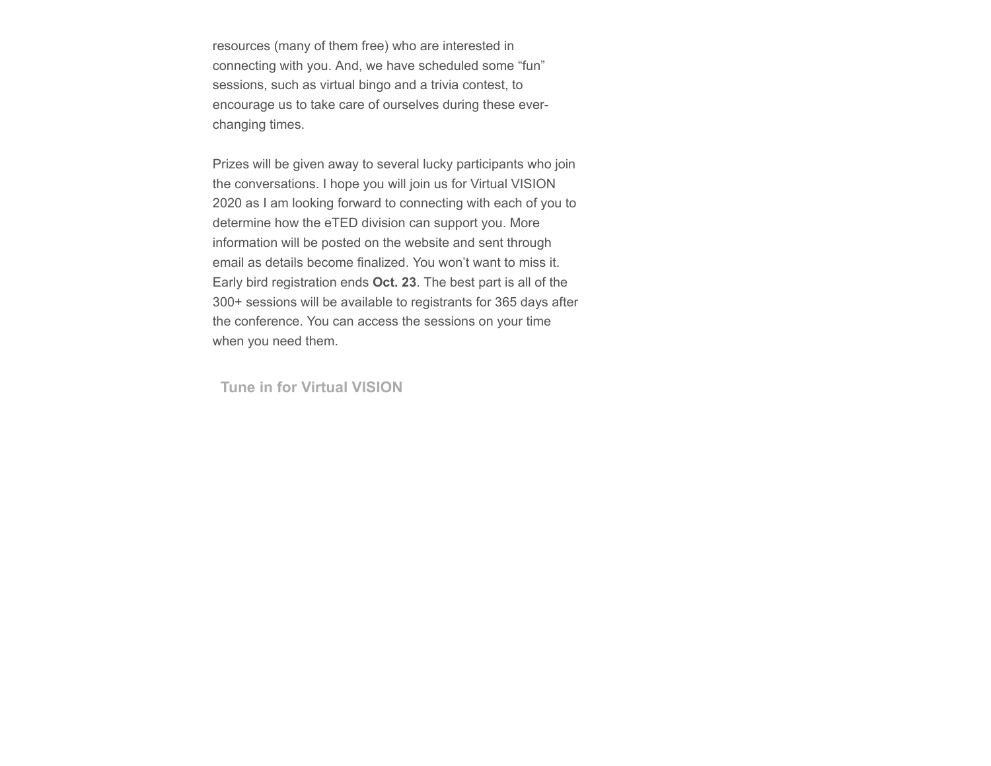resources (many of them free) who are interested in connecting with you. And, we have scheduled some "fun" sessions, such as virtual bingo and a trivia contest, to encourage us to take care of ourselves during these everchanging times.

Prizes will be given away to several lucky participants who join the conversations. I hope you will join us for Virtual VISION 2020 as I am looking forward to connecting with each of you to determine how the eTED division can support you. More information will be posted on the website and sent through email as details become finalized. You won't want to miss it. Early bird registration ends **Oct. 23**. The best part is all of the 300+ sessions will be available to registrants for 365 days after the conference. You can access the sessions on your time when you need them.

**[Tune in for Virtual VISION](https://www.careertechvision.com/index.cfm)**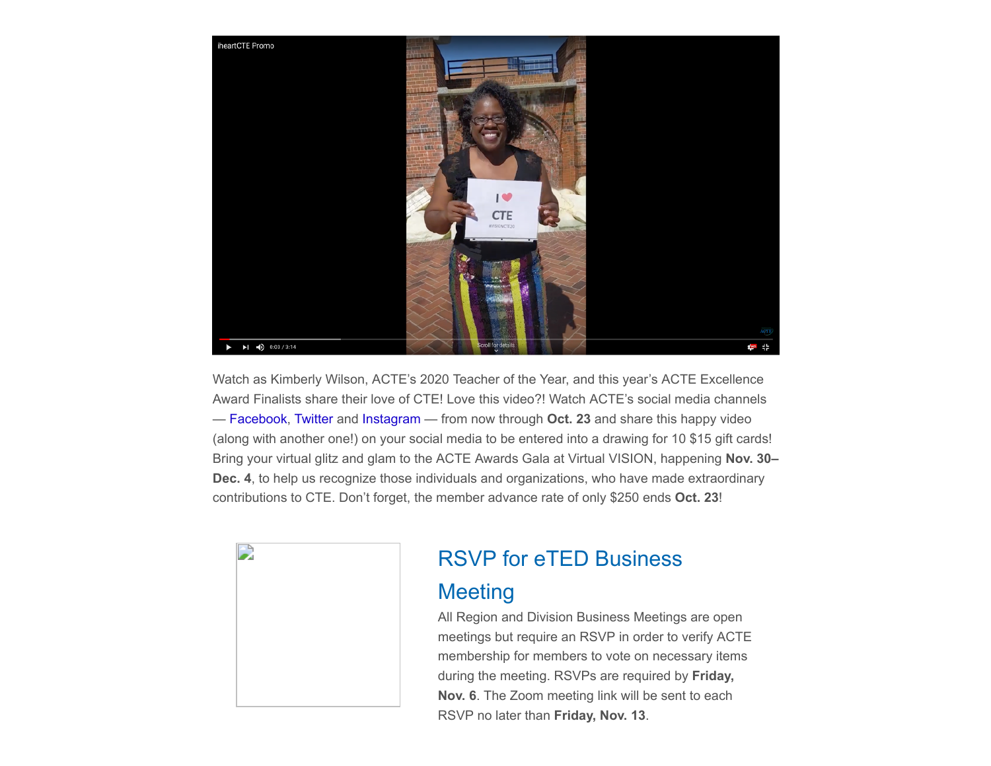

Watch as Kimberly Wilson, ACTE's 2020 Teacher of the Year, and this year's ACTE Excellence Award Finalists share their love of CTE! Love this video?! Watch ACTE's social media channels — [Facebook](https://www.facebook.com/actecareertech), [Twitter](https://twitter.com/actecareertech) and [Instagram](https://www.instagram.com/actecareertech1/) — from now through **Oct. 23** and share this happy video (along with another one!) on your social media to be entered into a drawing for 10 \$15 gift cards! Bring your virtual glitz and glam to the ACTE Awards Gala at Virtual VISION, happening **Nov. 30– Dec. 4**, to help us recognize those individuals and organizations, who have made extraordinary contributions to CTE. Don't forget, the member advance rate of only \$250 ends **Oct. 23**!



# RSVP for eTED Business

### **Meeting**

All Region and Division Business Meetings are open meetings but require an RSVP in order to verify ACTE membership for members to vote on necessary items during the meeting. RSVPs are required by **Friday, Nov. 6**. The Zoom meeting link will be sent to each RSVP no later than **Friday, Nov. 13**.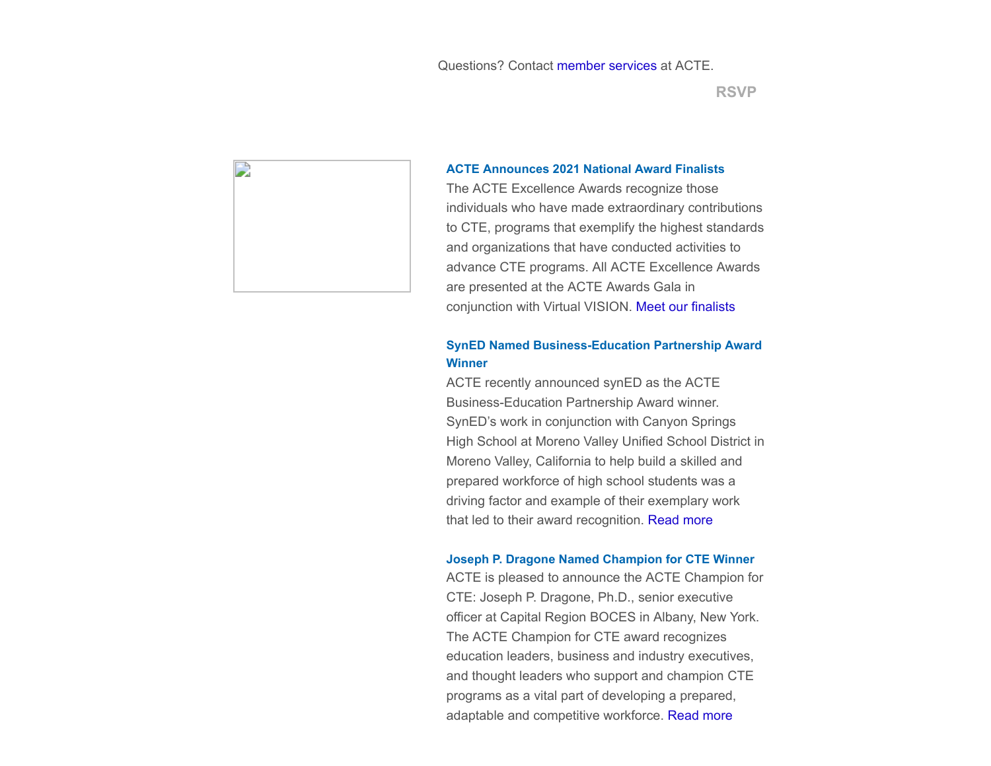

#### **ACTE Announces 2021 National Award Finalists**

The ACTE Excellence Awards recognize those individuals who have made extraordinary contributions to CTE, programs that exemplify the highest standards and organizations that have conducted activities to advance CTE programs. All ACTE Excellence Awards are presented at the ACTE Awards Gala in conjunction with Virtual VISION. [Meet our finalists](https://www.acteonline.org/professional-development/acte-awards/acte-excellence-awards/)

#### **SynED Named Business-Education Partnership Award Winner**

ACTE recently announced synED as the ACTE Business-Education Partnership Award winner. SynED's work in conjunction with Canyon Springs High School at Moreno Valley Unified School District in Moreno Valley, California to help build a skilled and prepared workforce of high school students was a driving factor and example of their exemplary work that led to their award recognition. [Read more](https://www.acteonline.org/press-releases/syned-named-acte-business-education-partnership-award-winner/)

#### **Joseph P. Dragone Named Champion for CTE Winner**

ACTE is pleased to announce the ACTE Champion for CTE: Joseph P. Dragone, Ph.D., senior executive officer at Capital Region BOCES in Albany, New York. The ACTE Champion for CTE award recognizes education leaders, business and industry executives, and thought leaders who support and champion CTE programs as a vital part of developing a prepared, adaptable and competitive workforce. [Read more](https://www.acteonline.org/press-releases/joseph-p-dragone-ph-d-named-acte-champion-for-cte/)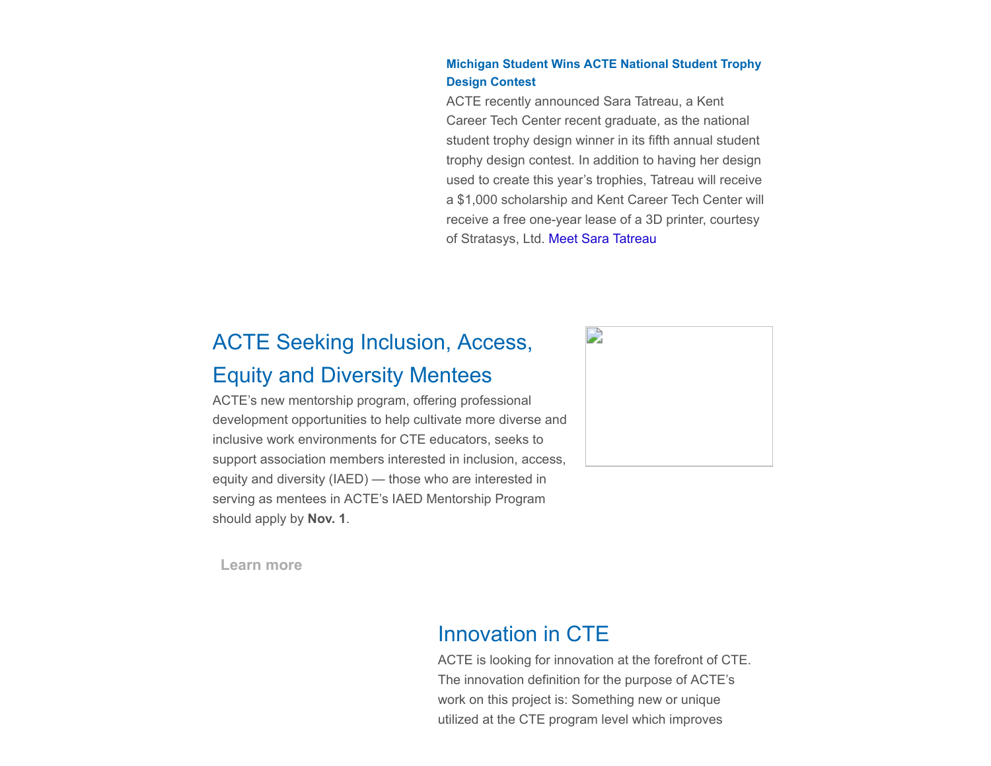#### **Michigan Student Wins ACTE National Student Trophy Design Contest**

ACTE recently announced Sara Tatreau, a Kent Career Tech Center recent graduate, as the national student trophy design winner in its fifth annual student trophy design contest. In addition to having her design used to create this year's trophies, Tatreau will receive a \$1,000 scholarship and Kent Career Tech Center will receive a free one-year lease of a 3D printer, courtesy of Stratasys, Ltd. [Meet Sara Tatreau](https://www.acteonline.org/press-releases/michigan-student-wins-acte-national-student-trophy-design-contest/)

# ACTE Seeking Inclusion, Access, Equity and Diversity Mentees

ACTE's new mentorship program, offering professional development opportunities to help cultivate more diverse and inclusive work environments for CTE educators, seeks to support association members interested in inclusion, access, equity and diversity (IAED) — those who are interested in serving as mentees in ACTE's IAED Mentorship Program should apply by **Nov. 1**.



**[Learn more](https://www.acteonline.org/iaed-mentorship-program/)**

### Innovation in CTE

ACTE is looking for innovation at the forefront of CTE. The innovation definition for the purpose of ACTE's work on this project is: Something new or unique utilized at the CTE program level which improves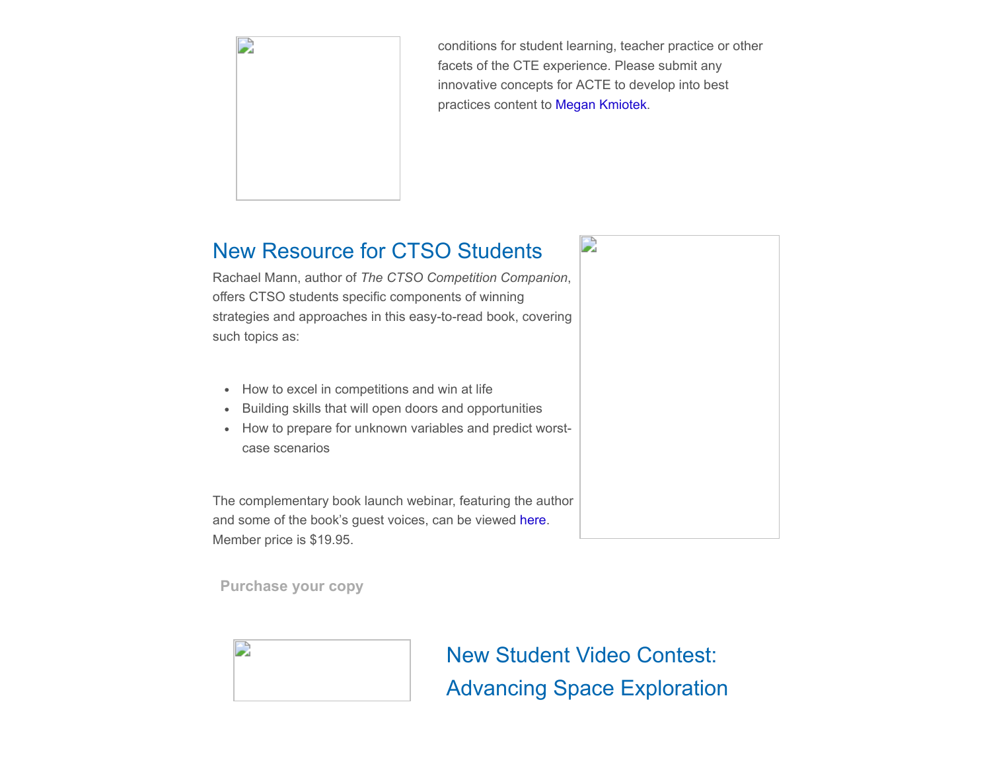

conditions for student learning, teacher practice or other facets of the CTE experience. Please submit any innovative concepts for ACTE to develop into best practices content to [Megan Kmiotek.](mailto:mkmiotek@acteonline.org?subject=Innovation%20in%20CTE)

### New Resource for CTSO Students

Rachael Mann, author of *The CTSO Competition Companion*, offers CTSO students specific components of winning strategies and approaches in this easy-to-read book, covering such topics as:

- How to excel in competitions and win at life
- Building skills that will open doors and opportunities
- How to prepare for unknown variables and predict worstcase scenarios

The complementary book launch webinar, featuring the author and some of the book's guest voices, can be viewed [here](https://www.youtube.com/watch?v=Yd_a2Bv7yZg&feature=youtu.be). Member price is \$19.95.

**[Purchase your copy](https://www.acteonline.org/publications/shopacte/)**



New Student Video Contest: Advancing Space Exploration

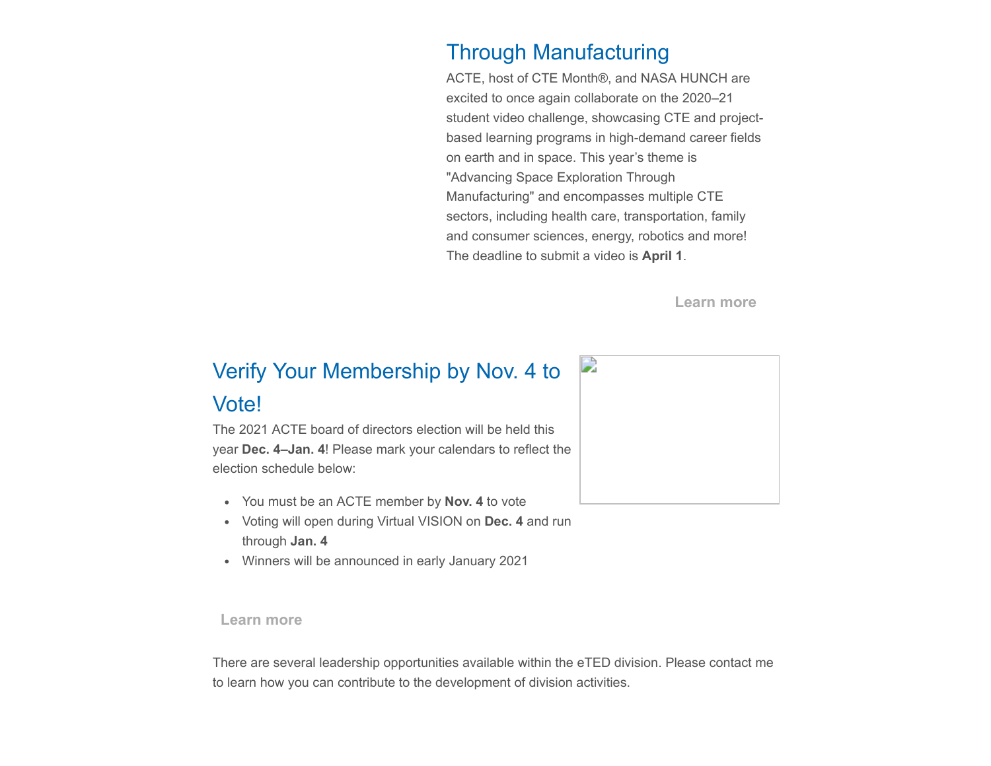### Through Manufacturing

ACTE, host of CTE Month®, and NASA HUNCH are excited to once again collaborate on the 2020–21 student video challenge, showcasing CTE and projectbased learning programs in high-demand career fields on earth and in space. This year's theme is "Advancing Space Exploration Through Manufacturing" and encompasses multiple CTE sectors, including health care, transportation, family and consumer sciences, energy, robotics and more! The deadline to submit a video is **April 1**.

**[Learn more](https://www.acteonline.org/why-cte/cte-awareness/cte-month/cte-month-2020-and-nasa-hunch-video-challenge/)**

# Verify Your Membership by Nov. 4 to

### Vote!

The 2021 ACTE board of directors election will be held this year **Dec. 4–Jan. 4**! Please mark your calendars to reflect the election schedule below:

- You must be an ACTE member by **Nov. 4** to vote
- Voting will open during Virtual VISION on **Dec. 4** and run through **Jan. 4**
- Winners will be announced in early January 2021

#### **[Learn more](https://nam10.safelinks.protection.outlook.com/?url=https%3A%2F%2Fwww.acteonline.org%2Fboard_election_candidates%2F&data=04%7C01%7Csstaton%40acteonline.org%7C616d540b20ff49888ebf08d86f6d7361%7Caa073e65c80e4bc7964cb85c6efc1992%7C0%7C0%7C637381863158412815%7CUnknown%7CTWFpbGZsb3d8eyJWIjoiMC4wLjAwMDAiLCJQIjoiV2luMzIiLCJBTiI6Ik1haWwiLCJXVCI6Mn0%3D%7C1000&sdata=IeJGUFmevy%2Fayf5bpm0lzLiPTF6nRppZUaYsRkTElWw%3D&reserved=0)**

There are several leadership opportunities available within the eTED division. Please contact me to learn how you can contribute to the development of division activities.